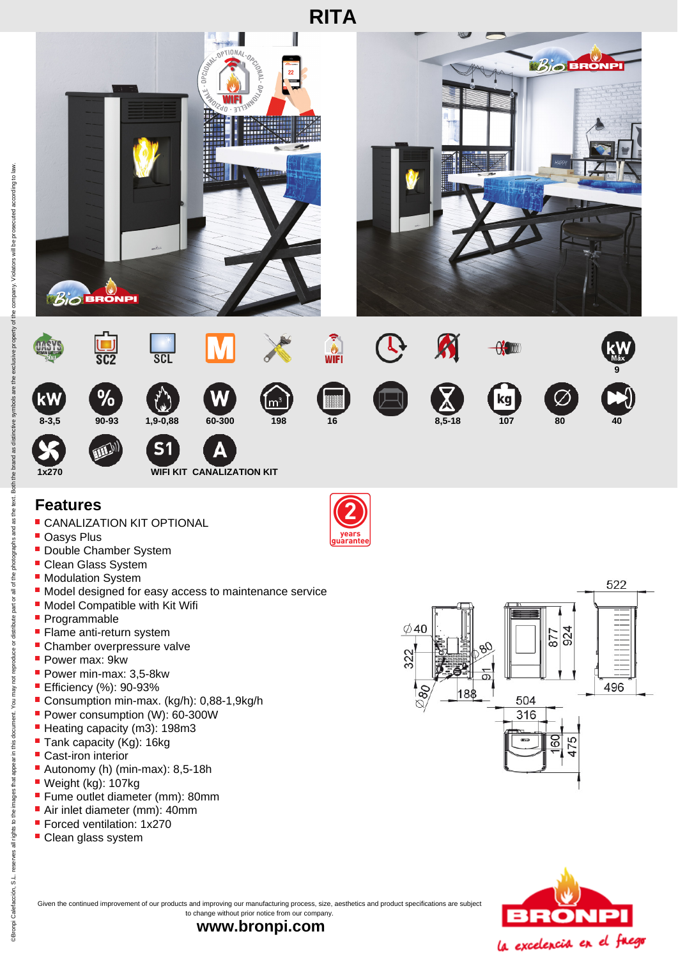

## **Features**

- **CANALIZATION KIT OPTIONAL**
- **Oasys Plus**
- **Double Chamber System**
- **Clean Glass System**
- **Modulation System**
- $\blacksquare$  Model designed for easy access to maintenance service
- **Model Compatible with Kit Wifi**
- Programmable
- **Flame anti-return system**
- **Chamber overpressure valve**
- Power max: 9kw
- Power min-max: 3,5-8kw
- **Efficiency (%): 90-93%**
- Consumption min-max. (kg/h): 0,88-1,9kg/h
- Power consumption (W): 60-300W
- Heating capacity (m3): 198m3
- Tank capacity (Kg): 16kg
- Cast-iron interior
- Autonomy (h) (min-max): 8,5-18h
- Weight (kg): 107kg
- **Fume outlet diameter (mm): 80mm**
- Air inlet diameter (mm): 40mm
- **Forced ventilation: 1x270**
- Clean glass system







Given the continued improvement of our products and improving our manufacturing process, size, aesthetics and product specifications are subject to change without prior notice from our company.

**www.bronpi.com**